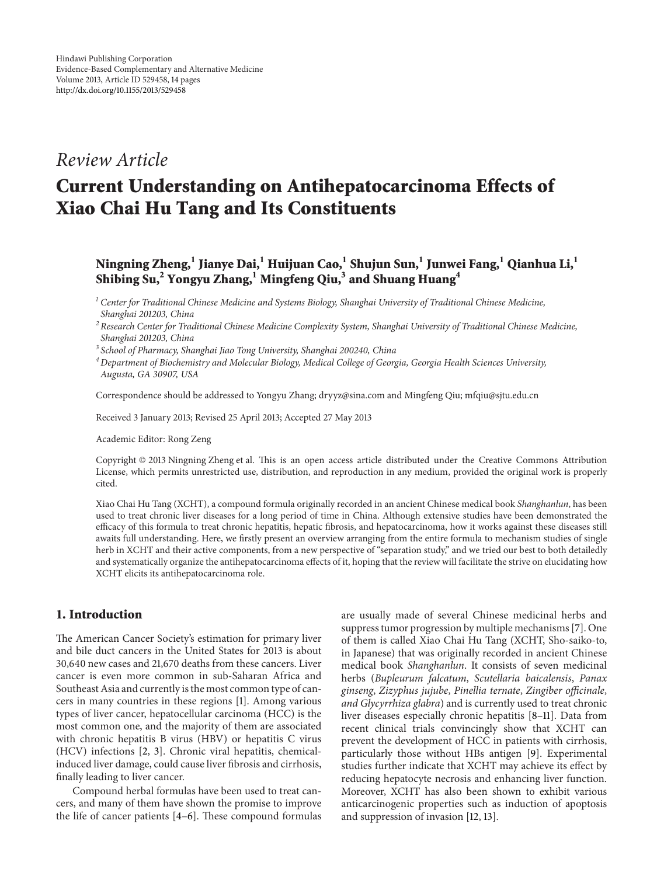# *Review Article*

# **Current Understanding on Antihepatocarcinoma Effects of Xiao Chai Hu Tang and Its Constituents**

## **Ningning Zheng,<sup>1</sup> Jianye Dai,1 Huijuan Cao,1 Shujun Sun,1 Junwei Fang,<sup>1</sup> Qianhua Li,1 Shibing Su,2 Yongyu Zhang,1 Mingfeng Qiu,3 and Shuang Huang4**

*<sup>1</sup> Center for Traditional Chinese Medicine and Systems Biology, Shanghai University of Traditional Chinese Medicine, Shanghai 201203, China*

*<sup>2</sup> Research Center for Traditional Chinese Medicine Complexity System, Shanghai University of Traditional Chinese Medicine, Shanghai 201203, China*

*<sup>3</sup> School of Pharmacy, Shanghai Jiao Tong University, Shanghai 200240, China*

*<sup>4</sup> Department of Biochemistry and Molecular Biology, Medical College of Georgia, Georgia Health Sciences University, Augusta, GA 30907, USA*

Correspondence should be addressed to Yongyu Zhang; dryyz@sina.com and Mingfeng Qiu; mfqiu@sjtu.edu.cn

Received 3 January 2013; Revised 25 April 2013; Accepted 27 May 2013

Academic Editor: Rong Zeng

Copyright © 2013 Ningning Zheng et al. This is an open access article distributed under the Creative Commons Attribution License, which permits unrestricted use, distribution, and reproduction in any medium, provided the original work is properly cited.

Xiao Chai Hu Tang (XCHT), a compound formula originally recorded in an ancient Chinese medical book *Shanghanlun*, has been used to treat chronic liver diseases for a long period of time in China. Although extensive studies have been demonstrated the efficacy of this formula to treat chronic hepatitis, hepatic fibrosis, and hepatocarcinoma, how it works against these diseases still awaits full understanding. Here, we firstly present an overview arranging from the entire formula to mechanism studies of single herb in XCHT and their active components, from a new perspective of "separation study," and we tried our best to both detailedly and systematically organize the antihepatocarcinoma effects of it, hoping that the review will facilitate the strive on elucidating how XCHT elicits its antihepatocarcinoma role.

## **1. Introduction**

The American Cancer Society's estimation for primary liver and bile duct cancers in the United States for 2013 is about 30,640 new cases and 21,670 deaths from these cancers. Liver cancer is even more common in sub-Saharan Africa and Southeast Asia and currently is the most common type of cancers in many countries in these regions [\[1\]](#page-9-1). Among various types of liver cancer, hepatocellular carcinoma (HCC) is the most common one, and the majority of them are associated with chronic hepatitis B virus (HBV) or hepatitis C virus (HCV) infections [\[2](#page-10-0), [3\]](#page-10-1). Chronic viral hepatitis, chemicalinduced liver damage, could cause liver fibrosis and cirrhosis, finally leading to liver cancer.

Compound herbal formulas have been used to treat cancers, and many of them have shown the promise to improve the life of cancer patients [\[4](#page-10-2)[–6](#page-10-3)]. These compound formulas are usually made of several Chinese medicinal herbs and suppress tumor progression by multiple mechanisms [\[7](#page-10-4)]. One of them is called Xiao Chai Hu Tang (XCHT, Sho-saiko-to, in Japanese) that was originally recorded in ancient Chinese medical book *Shanghanlun*. It consists of seven medicinal herbs (*Bupleurum falcatum*, *Scutellaria baicalensis*, *Panax ginseng*, *Zizyphus jujube*, *Pinellia ternate*, *Zingiber officinale*, *and Glycyrrhiza glabra*) and is currently used to treat chronic liver diseases especially chronic hepatitis [\[8](#page-10-5)[–11\]](#page-10-6). Data from recent clinical trials convincingly show that XCHT can prevent the development of HCC in patients with cirrhosis, particularly those without HBs antigen [\[9\]](#page-10-7). Experimental studies further indicate that XCHT may achieve its effect by reducing hepatocyte necrosis and enhancing liver function. Moreover, XCHT has also been shown to exhibit various anticarcinogenic properties such as induction of apoptosis and suppression of invasion [\[12,](#page-10-8) [13](#page-10-9)].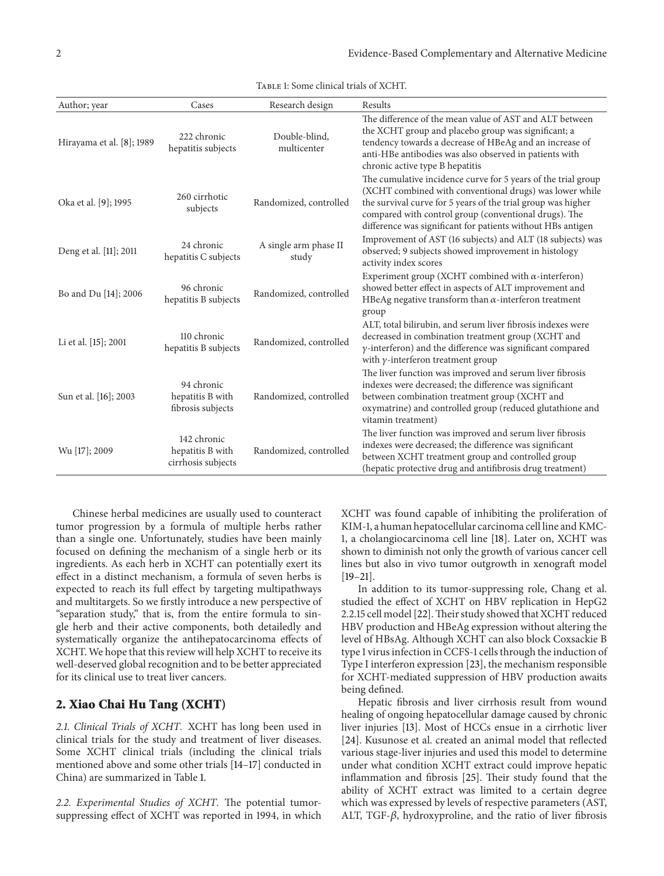| Author; year              | Cases                                                 | Research design                | Results                                                                                                                                                                                                                                                                                                          |
|---------------------------|-------------------------------------------------------|--------------------------------|------------------------------------------------------------------------------------------------------------------------------------------------------------------------------------------------------------------------------------------------------------------------------------------------------------------|
| Hirayama et al. [8]; 1989 | 222 chronic<br>hepatitis subjects                     | Double-blind,<br>multicenter   | The difference of the mean value of AST and ALT between<br>the XCHT group and placebo group was significant; a<br>tendency towards a decrease of HBeAg and an increase of<br>anti-HBe antibodies was also observed in patients with<br>chronic active type B hepatitis                                           |
| Oka et al. [9]; 1995      | 260 cirrhotic<br>subjects                             | Randomized, controlled         | The cumulative incidence curve for 5 years of the trial group<br>(XCHT combined with conventional drugs) was lower while<br>the survival curve for 5 years of the trial group was higher<br>compared with control group (conventional drugs). The<br>difference was significant for patients without HBs antigen |
| Deng et al. [11]; 2011    | 24 chronic<br>hepatitis C subjects                    | A single arm phase II<br>study | Improvement of AST (16 subjects) and ALT (18 subjects) was<br>observed; 9 subjects showed improvement in histology<br>activity index scores                                                                                                                                                                      |
| Bo and Du [14]; 2006      | 96 chronic<br>hepatitis B subjects                    | Randomized, controlled         | Experiment group (XCHT combined with $\alpha$ -interferon)<br>showed better effect in aspects of ALT improvement and<br>HBeAg negative transform than $\alpha$ -interferon treatment<br>group                                                                                                                    |
| Li et al. [15]; 2001      | 110 chronic<br>hepatitis B subjects                   | Randomized, controlled         | ALT, total bilirubin, and serum liver fibrosis indexes were<br>decreased in combination treatment group (XCHT and<br>$\gamma$ -interferon) and the difference was significant compared<br>with $\gamma$ -interferon treatment group                                                                              |
| Sun et al. [16]; 2003     | 94 chronic<br>hepatitis B with<br>fibrosis subjects   | Randomized, controlled         | The liver function was improved and serum liver fibrosis<br>indexes were decreased; the difference was significant<br>between combination treatment group (XCHT and<br>oxymatrine) and controlled group (reduced glutathione and<br>vitamin treatment)                                                           |
| Wu [17]; 2009             | 142 chronic<br>hepatitis B with<br>cirrhosis subjects | Randomized, controlled         | The liver function was improved and serum liver fibrosis<br>indexes were decreased; the difference was significant<br>between XCHT treatment group and controlled group<br>(hepatic protective drug and antifibrosis drug treatment)                                                                             |

<span id="page-1-0"></span>Table 1: Some clinical trials of XCHT.

Chinese herbal medicines are usually used to counteract tumor progression by a formula of multiple herbs rather than a single one. Unfortunately, studies have been mainly focused on defining the mechanism of a single herb or its ingredients. As each herb in XCHT can potentially exert its effect in a distinct mechanism, a formula of seven herbs is expected to reach its full effect by targeting multipathways and multitargets. So we firstly introduce a new perspective of "separation study," that is, from the entire formula to single herb and their active components, both detailedly and systematically organize the antihepatocarcinoma effects of XCHT. We hope that this review will help XCHT to receive its well-deserved global recognition and to be better appreciated for its clinical use to treat liver cancers.

### **2. Xiao Chai Hu Tang (XCHT)**

*2.1. Clinical Trials of XCHT.* XCHT has long been used in clinical trials for the study and treatment of liver diseases. Some XCHT clinical trials (including the clinical trials mentioned above and some other trials [\[14](#page-10-10)[–17\]](#page-10-13) conducted in China) are summarized in Table [1.](#page-1-0)

*2.2. Experimental Studies of XCHT.* The potential tumorsuppressing effect of XCHT was reported in 1994, in which XCHT was found capable of inhibiting the proliferation of KIM-1, a human hepatocellular carcinoma cell line and KMC-1, a cholangiocarcinoma cell line [\[18](#page-10-14)]. Later on, XCHT was shown to diminish not only the growth of various cancer cell lines but also in vivo tumor outgrowth in xenograft model [\[19](#page-10-15)[–21](#page-10-16)].

In addition to its tumor-suppressing role, Chang et al. studied the effect of XCHT on HBV replication in HepG2 2.2.15 cell model [\[22\]](#page-10-17). Their study showed that XCHT reduced HBV production and HBeAg expression without altering the level of HBsAg. Although XCHT can also block Coxsackie B type 1 virus infection in CCFS-1 cells through the induction of Type I interferon expression [\[23\]](#page-10-18), the mechanism responsible for XCHT-mediated suppression of HBV production awaits being defined.

Hepatic fibrosis and liver cirrhosis result from wound healing of ongoing hepatocellular damage caused by chronic liver injuries [\[13\]](#page-10-9). Most of HCCs ensue in a cirrhotic liver [\[24](#page-10-19)]. Kusunose et al. created an animal model that reflected various stage-liver injuries and used this model to determine under what condition XCHT extract could improve hepatic inflammation and fibrosis [\[25](#page-10-20)]. Their study found that the ability of XCHT extract was limited to a certain degree which was expressed by levels of respective parameters (AST, ALT, TGF- $\beta$ , hydroxyproline, and the ratio of liver fibrosis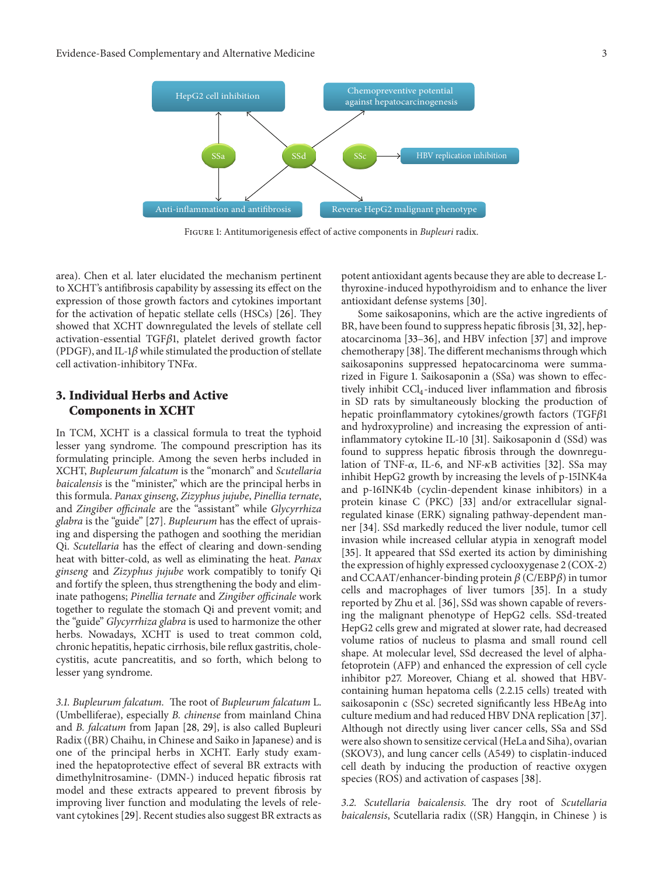

<span id="page-2-0"></span>Figure 1: Antitumorigenesis effect of active components in *Bupleuri* radix.

area). Chen et al. later elucidated the mechanism pertinent to XCHT's antifibrosis capability by assessing its effect on the expression of those growth factors and cytokines important for the activation of hepatic stellate cells (HSCs) [\[26](#page-10-21)]. They showed that XCHT downregulated the levels of stellate cell  $activation-essential TGF\beta1$ , platelet derived growth factor (PDGF), and IL-1 $\beta$  while stimulated the production of stellate cell activation-inhibitory TNF $\alpha$ .

## **3. Individual Herbs and Active Components in XCHT**

In TCM, XCHT is a classical formula to treat the typhoid lesser yang syndrome. The compound prescription has its formulating principle. Among the seven herbs included in XCHT, *Bupleurum falcatum* is the "monarch" and *Scutellaria baicalensis* is the "minister," which are the principal herbs in this formula. *Panax ginseng*, *Zizyphus jujube*, *Pinellia ternate*, and *Zingiber officinale* are the "assistant" while *Glycyrrhiza glabra* is the "guide" [\[27](#page-10-22)]. *Bupleurum* has the effect of upraising and dispersing the pathogen and soothing the meridian Qi. *Scutellaria* has the effect of clearing and down-sending heat with bitter-cold, as well as eliminating the heat. *Panax ginseng* and *Zizyphus jujube* work compatibly to tonify Qi and fortify the spleen, thus strengthening the body and eliminate pathogens; *Pinellia ternate* and *Zingiber officinale* work together to regulate the stomach Qi and prevent vomit; and the "guide" *Glycyrrhiza glabra* is used to harmonize the other herbs. Nowadays, XCHT is used to treat common cold, chronic hepatitis, hepatic cirrhosis, bile reflux gastritis, cholecystitis, acute pancreatitis, and so forth, which belong to lesser yang syndrome.

*3.1. Bupleurum falcatum.* The root of *Bupleurum falcatum* L. (Umbelliferae), especially *B. chinense* from mainland China and *B. falcatum* from Japan [\[28,](#page-10-23) [29\]](#page-10-24), is also called Bupleuri Radix ((BR) Chaihu, in Chinese and Saiko in Japanese) and is one of the principal herbs in XCHT. Early study examined the hepatoprotective effect of several BR extracts with dimethylnitrosamine- (DMN-) induced hepatic fibrosis rat model and these extracts appeared to prevent fibrosis by improving liver function and modulating the levels of relevant cytokines [\[29](#page-10-24)]. Recent studies also suggest BR extracts as

potent antioxidant agents because they are able to decrease Lthyroxine-induced hypothyroidism and to enhance the liver antioxidant defense systems [\[30\]](#page-10-25).

Some saikosaponins, which are the active ingredients of BR, have been found to suppress hepatic fibrosis [\[31,](#page-11-0) [32\]](#page-11-1), hepatocarcinoma [\[33](#page-11-2)[–36](#page-11-3)], and HBV infection [\[37](#page-11-4)] and improve chemotherapy [\[38\]](#page-11-5).The different mechanisms through which saikosaponins suppressed hepatocarcinoma were summarized in Figure [1.](#page-2-0) Saikosaponin a (SSa) was shown to effectively inhibit  $\text{CCl}_4$ -induced liver inflammation and fibrosis in SD rats by simultaneously blocking the production of hepatic proinflammatory cytokines/growth factors (TGF $\beta$ 1 and hydroxyproline) and increasing the expression of antiinflammatory cytokine IL-10 [\[31](#page-11-0)]. Saikosaponin d (SSd) was found to suppress hepatic fibrosis through the downregulation of TNF- $\alpha$ , IL-6, and NF- $\kappa$ B activities [\[32\]](#page-11-1). SSa may inhibit HepG2 growth by increasing the levels of p-15INK4a and p-16INK4b (cyclin-dependent kinase inhibitors) in a protein kinase C (PKC) [\[33](#page-11-2)] and/or extracellular signalregulated kinase (ERK) signaling pathway-dependent manner [\[34\]](#page-11-6). SSd markedly reduced the liver nodule, tumor cell invasion while increased cellular atypia in xenograft model [\[35](#page-11-7)]. It appeared that SSd exerted its action by diminishing the expression of highly expressed cyclooxygenase 2 (COX-2) and CCAAT/enhancer-binding protein  $\beta$  (C/EBP $\beta$ ) in tumor cells and macrophages of liver tumors [\[35](#page-11-7)]. In a study reported by Zhu et al. [\[36](#page-11-3)], SSd was shown capable of reversing the malignant phenotype of HepG2 cells. SSd-treated HepG2 cells grew and migrated at slower rate, had decreased volume ratios of nucleus to plasma and small round cell shape. At molecular level, SSd decreased the level of alphafetoprotein (AFP) and enhanced the expression of cell cycle inhibitor p27. Moreover, Chiang et al. showed that HBVcontaining human hepatoma cells (2.2.15 cells) treated with saikosaponin c (SSc) secreted significantly less HBeAg into culture medium and had reduced HBV DNA replication [\[37](#page-11-4)]. Although not directly using liver cancer cells, SSa and SSd were also shown to sensitize cervical (HeLa and Siha), ovarian (SKOV3), and lung cancer cells (A549) to cisplatin-induced cell death by inducing the production of reactive oxygen species (ROS) and activation of caspases [\[38\]](#page-11-5).

*3.2. Scutellaria baicalensis.* The dry root of *Scutellaria baicalensis*, Scutellaria radix ((SR) Hangqin, in Chinese ) is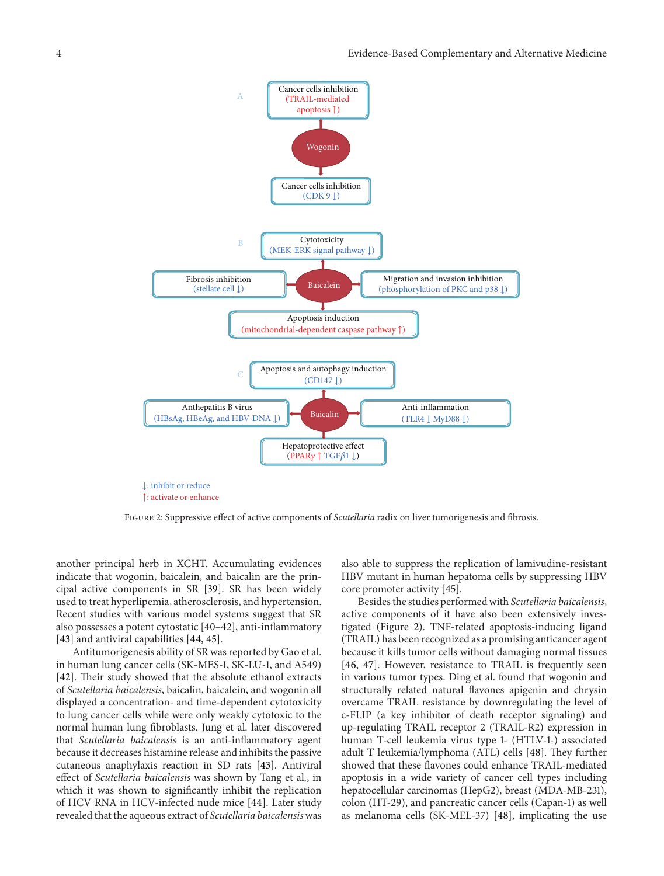

<span id="page-3-0"></span>Figure 2: Suppressive effect of active components of *Scutellaria* radix on liver tumorigenesis and fibrosis.

another principal herb in XCHT. Accumulating evidences indicate that wogonin, baicalein, and baicalin are the principal active components in SR [\[39\]](#page-11-8). SR has been widely used to treat hyperlipemia, atherosclerosis, and hypertension. Recent studies with various model systems suggest that SR also possesses a potent cytostatic [\[40](#page-11-9)[–42](#page-11-10)], anti-inflammatory [\[43](#page-11-11)] and antiviral capabilities [\[44,](#page-11-12) [45\]](#page-11-13).

Antitumorigenesis ability of SR was reported by Gao et al. in human lung cancer cells (SK-MES-1, SK-LU-1, and A549) [\[42\]](#page-11-10). Their study showed that the absolute ethanol extracts of *Scutellaria baicalensis*, baicalin, baicalein, and wogonin all displayed a concentration- and time-dependent cytotoxicity to lung cancer cells while were only weakly cytotoxic to the normal human lung fibroblasts. Jung et al. later discovered that *Scutellaria baicalensis* is an anti-inflammatory agent because it decreases histamine release and inhibits the passive cutaneous anaphylaxis reaction in SD rats [\[43\]](#page-11-11). Antiviral effect of *Scutellaria baicalensis* was shown by Tang et al., in which it was shown to significantly inhibit the replication of HCV RNA in HCV-infected nude mice [\[44\]](#page-11-12). Later study revealed that the aqueous extract of *Scutellaria baicalensis*was also able to suppress the replication of lamivudine-resistant HBV mutant in human hepatoma cells by suppressing HBV core promoter activity [\[45](#page-11-13)].

Besides the studies performed with *Scutellaria baicalensis*, active components of it have also been extensively investigated (Figure [2\)](#page-3-0). TNF-related apoptosis-inducing ligand (TRAIL) has been recognized as a promising anticancer agent because it kills tumor cells without damaging normal tissues [\[46](#page-11-14), [47\]](#page-11-15). However, resistance to TRAIL is frequently seen in various tumor types. Ding et al. found that wogonin and structurally related natural flavones apigenin and chrysin overcame TRAIL resistance by downregulating the level of c-FLIP (a key inhibitor of death receptor signaling) and up-regulating TRAIL receptor 2 (TRAIL-R2) expression in human T-cell leukemia virus type 1- (HTLV-1-) associated adult T leukemia/lymphoma (ATL) cells [\[48\]](#page-11-16). They further showed that these flavones could enhance TRAIL-mediated apoptosis in a wide variety of cancer cell types including hepatocellular carcinomas (HepG2), breast (MDA-MB-231), colon (HT-29), and pancreatic cancer cells (Capan-1) as well as melanoma cells (SK-MEL-37) [\[48\]](#page-11-16), implicating the use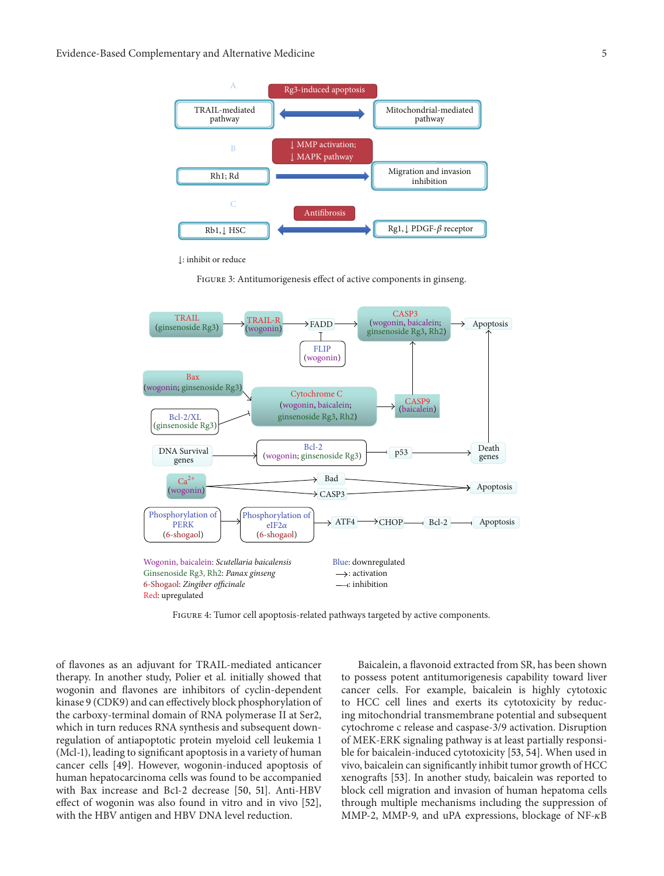

↓: inhibit or reduce

<span id="page-4-0"></span>Figure 3: Antitumorigenesis effect of active components in ginseng.



<span id="page-4-1"></span>Figure 4: Tumor cell apoptosis-related pathways targeted by active components.

of flavones as an adjuvant for TRAIL-mediated anticancer therapy. In another study, Polier et al. initially showed that wogonin and flavones are inhibitors of cyclin-dependent kinase 9 (CDK9) and can effectively block phosphorylation of the carboxy-terminal domain of RNA polymerase II at Ser2, which in turn reduces RNA synthesis and subsequent downregulation of antiapoptotic protein myeloid cell leukemia 1 (Mcl-1), leading to significant apoptosis in a variety of human cancer cells [\[49](#page-11-17)]. However, wogonin-induced apoptosis of human hepatocarcinoma cells was found to be accompanied with Bax increase and Bc1-2 decrease [\[50,](#page-11-18) [51](#page-11-19)]. Anti-HBV effect of wogonin was also found in vitro and in vivo [\[52\]](#page-11-20), with the HBV antigen and HBV DNA level reduction.

Baicalein, a flavonoid extracted from SR, has been shown to possess potent antitumorigenesis capability toward liver cancer cells. For example, baicalein is highly cytotoxic to HCC cell lines and exerts its cytotoxicity by reducing mitochondrial transmembrane potential and subsequent cytochrome c release and caspase-3/9 activation. Disruption of MEK-ERK signaling pathway is at least partially responsible for baicalein-induced cytotoxicity [\[53](#page-11-21), [54](#page-11-22)]. When used in vivo, baicalein can significantly inhibit tumor growth of HCC xenografts [\[53\]](#page-11-21). In another study, baicalein was reported to block cell migration and invasion of human hepatoma cells through multiple mechanisms including the suppression of MMP-2, MMP-9, and uPA expressions, blockage of NF- $\kappa$ B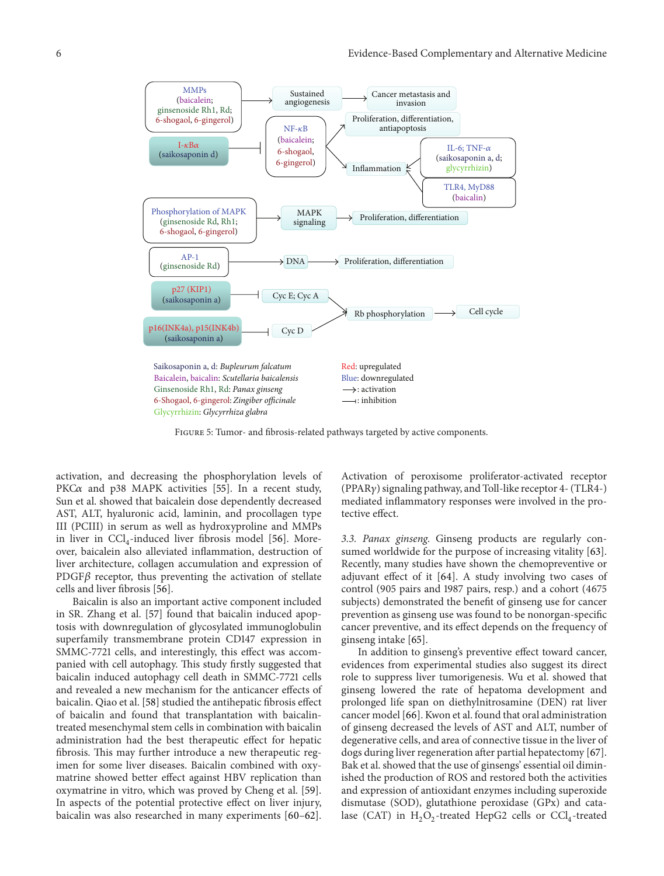

<span id="page-5-0"></span>Figure 5: Tumor- and fibrosis-related pathways targeted by active components.

activation, and decreasing the phosphorylation levels of PKC $\alpha$  and p38 MAPK activities [\[55](#page-11-23)]. In a recent study, Sun et al. showed that baicalein dose dependently decreased AST, ALT, hyaluronic acid, laminin, and procollagen type III (PCIII) in serum as well as hydroxyproline and MMPs in liver in  $\text{CCl}_4$ -induced liver fibrosis model [\[56\]](#page-11-24). Moreover, baicalein also alleviated inflammation, destruction of liver architecture, collagen accumulation and expression of PDGF $\beta$  receptor, thus preventing the activation of stellate cells and liver fibrosis [\[56](#page-11-24)].

Baicalin is also an important active component included in SR. Zhang et al. [\[57\]](#page-11-25) found that baicalin induced apoptosis with downregulation of glycosylated immunoglobulin superfamily transmembrane protein CD147 expression in SMMC-7721 cells, and interestingly, this effect was accompanied with cell autophagy. This study firstly suggested that baicalin induced autophagy cell death in SMMC-7721 cells and revealed a new mechanism for the anticancer effects of baicalin. Qiao et al. [\[58\]](#page-11-26) studied the antihepatic fibrosis effect of baicalin and found that transplantation with baicalintreated mesenchymal stem cells in combination with baicalin administration had the best therapeutic effect for hepatic fibrosis. This may further introduce a new therapeutic regimen for some liver diseases. Baicalin combined with oxymatrine showed better effect against HBV replication than oxymatrine in vitro, which was proved by Cheng et al. [\[59\]](#page-12-0). In aspects of the potential protective effect on liver injury, baicalin was also researched in many experiments [\[60](#page-12-1)[–62\]](#page-12-2). Activation of peroxisome proliferator-activated receptor (PPAR $\gamma$ ) signaling pathway, and Toll-like receptor 4- (TLR4-) mediated inflammatory responses were involved in the protective effect.

*3.3. Panax ginseng.* Ginseng products are regularly consumed worldwide for the purpose of increasing vitality [\[63](#page-12-3)]. Recently, many studies have shown the chemopreventive or adjuvant effect of it [\[64](#page-12-4)]. A study involving two cases of control (905 pairs and 1987 pairs, resp.) and a cohort (4675 subjects) demonstrated the benefit of ginseng use for cancer prevention as ginseng use was found to be nonorgan-specific cancer preventive, and its effect depends on the frequency of ginseng intake [\[65](#page-12-5)].

In addition to ginseng's preventive effect toward cancer, evidences from experimental studies also suggest its direct role to suppress liver tumorigenesis. Wu et al. showed that ginseng lowered the rate of hepatoma development and prolonged life span on diethylnitrosamine (DEN) rat liver cancer model [\[66\]](#page-12-6). Kwon et al. found that oral administration of ginseng decreased the levels of AST and ALT, number of degenerative cells, and area of connective tissue in the liver of dogs during liver regeneration after partial hepatectomy [\[67](#page-12-7)]. Bak et al. showed that the use of ginsengs' essential oil diminished the production of ROS and restored both the activities and expression of antioxidant enzymes including superoxide dismutase (SOD), glutathione peroxidase (GPx) and catalase (CAT) in  $H_2O_2$ -treated HepG2 cells or CCl<sub>4</sub>-treated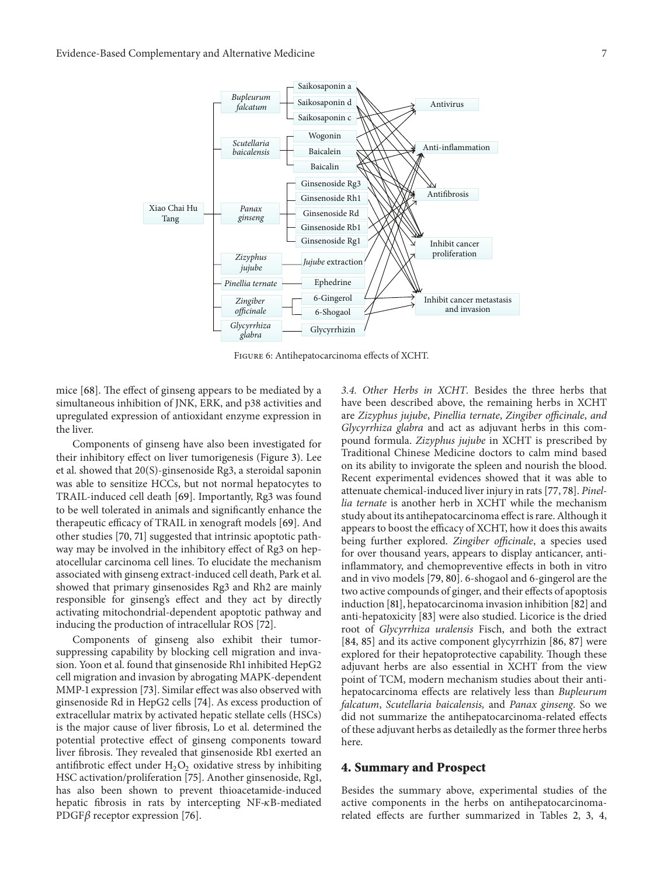

<span id="page-6-0"></span>Figure 6: Antihepatocarcinoma effects of XCHT.

mice [\[68\]](#page-12-8). The effect of ginseng appears to be mediated by a simultaneous inhibition of JNK, ERK, and p38 activities and upregulated expression of antioxidant enzyme expression in the liver.

Components of ginseng have also been investigated for their inhibitory effect on liver tumorigenesis (Figure [3\)](#page-4-0). Lee et al. showed that 20(S)-ginsenoside Rg3, a steroidal saponin was able to sensitize HCCs, but not normal hepatocytes to TRAIL-induced cell death [\[69\]](#page-12-9). Importantly, Rg3 was found to be well tolerated in animals and significantly enhance the therapeutic efficacy of TRAIL in xenograft models [\[69](#page-12-9)]. And other studies [\[70,](#page-12-10) [71\]](#page-12-11) suggested that intrinsic apoptotic pathway may be involved in the inhibitory effect of Rg3 on hepatocellular carcinoma cell lines. To elucidate the mechanism associated with ginseng extract-induced cell death, Park et al. showed that primary ginsenosides Rg3 and Rh2 are mainly responsible for ginseng's effect and they act by directly activating mitochondrial-dependent apoptotic pathway and inducing the production of intracellular ROS [\[72\]](#page-12-12).

Components of ginseng also exhibit their tumorsuppressing capability by blocking cell migration and invasion. Yoon et al. found that ginsenoside Rh1 inhibited HepG2 cell migration and invasion by abrogating MAPK-dependent MMP-1 expression [\[73\]](#page-12-13). Similar effect was also observed with ginsenoside Rd in HepG2 cells [\[74\]](#page-12-14). As excess production of extracellular matrix by activated hepatic stellate cells (HSCs) is the major cause of liver fibrosis, Lo et al. determined the potential protective effect of ginseng components toward liver fibrosis. They revealed that ginsenoside Rb1 exerted an antifibrotic effect under  $H_2O_2$  oxidative stress by inhibiting HSC activation/proliferation [\[75](#page-12-15)]. Another ginsenoside, Rg1, has also been shown to prevent thioacetamide-induced hepatic fibrosis in rats by intercepting  $NF-\kappa B$ -mediated PDGF $\beta$  receptor expression [\[76\]](#page-12-16).

*3.4. Other Herbs in XCHT.* Besides the three herbs that have been described above, the remaining herbs in XCHT are *Zizyphus jujube*, *Pinellia ternate*, *Zingiber officinale*, *and Glycyrrhiza glabra* and act as adjuvant herbs in this compound formula. *Zizyphus jujube* in XCHT is prescribed by Traditional Chinese Medicine doctors to calm mind based on its ability to invigorate the spleen and nourish the blood. Recent experimental evidences showed that it was able to attenuate chemical-induced liver injury in rats [\[77,](#page-12-17) [78](#page-12-18)]. *Pinellia ternate* is another herb in XCHT while the mechanism study about its antihepatocarcinoma effect is rare. Although it appears to boost the efficacy of XCHT, how it does this awaits being further explored. *Zingiber officinale*, a species used for over thousand years, appears to display anticancer, antiinflammatory, and chemopreventive effects in both in vitro and in vivo models [\[79,](#page-12-19) [80\]](#page-12-20). 6-shogaol and 6-gingerol are the two active compounds of ginger, and their effects of apoptosis induction [\[81\]](#page-12-21), hepatocarcinoma invasion inhibition [\[82\]](#page-12-22) and anti-hepatoxicity [\[83\]](#page-12-23) were also studied. Licorice is the dried root of *Glycyrrhiza uralensis* Fisch, and both the extract [\[84,](#page-12-24) [85\]](#page-12-25) and its active component glycyrrhizin [\[86,](#page-12-26) [87\]](#page-13-0) were explored for their hepatoprotective capability. Though these adjuvant herbs are also essential in XCHT from the view point of TCM, modern mechanism studies about their antihepatocarcinoma effects are relatively less than *Bupleurum falcatum*, *Scutellaria baicalensis,* and *Panax ginseng*. So we did not summarize the antihepatocarcinoma-related effects of these adjuvant herbs as detailedly as the former three herbs here.

#### **4. Summary and Prospect**

Besides the summary above, experimental studies of the active components in the herbs on antihepatocarcinomarelated effects are further summarized in Tables [2,](#page-7-0) [3,](#page-8-0) [4,](#page-8-1)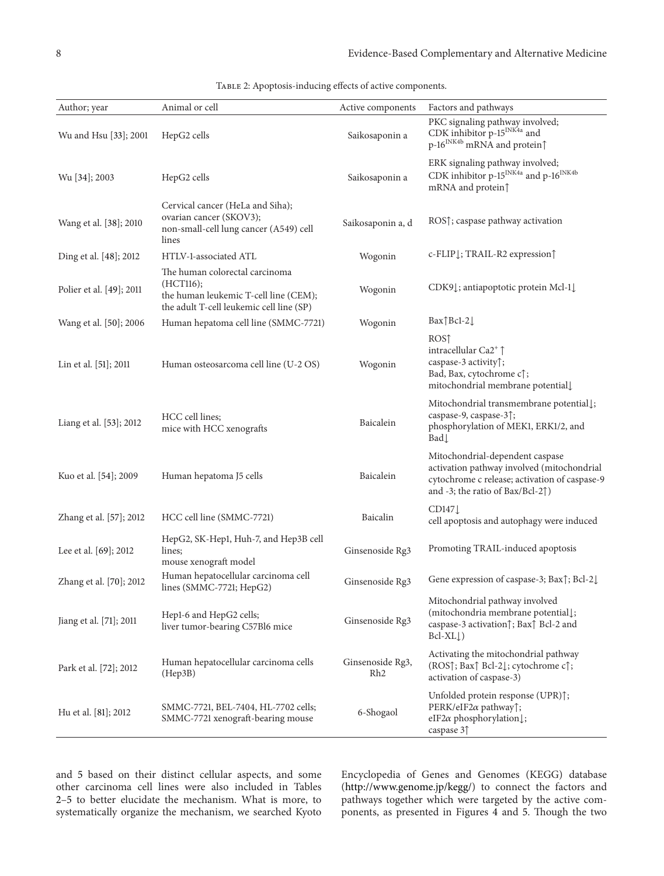| Author; year             | Animal or cell                                                                                                                   | Active components                   | Factors and pathways                                                                                                                                                          |
|--------------------------|----------------------------------------------------------------------------------------------------------------------------------|-------------------------------------|-------------------------------------------------------------------------------------------------------------------------------------------------------------------------------|
| Wu and Hsu [33]; 2001    | HepG2 cells                                                                                                                      | Saikosaponin a                      | PKC signaling pathway involved;<br>CDK inhibitor p- $15^{\text{INK4a}}$ and<br>p-16 <sup>INK4b</sup> mRNA and protein $\uparrow$                                              |
| Wu [34]; 2003            | HepG2 cells                                                                                                                      | Saikosaponin a                      | ERK signaling pathway involved;<br>CDK inhibitor p-15 <sup>INK4a</sup> and p-16 <sup>INK4b</sup><br>mRNA and protein $\uparrow$                                               |
| Wang et al. [38]; 2010   | Cervical cancer (HeLa and Siha);<br>ovarian cancer (SKOV3);<br>non-small-cell lung cancer (A549) cell<br>lines                   | Saikosaponin a, d                   | ROS $\uparrow$ ; caspase pathway activation                                                                                                                                   |
| Ding et al. [48]; 2012   | HTLV-1-associated ATL                                                                                                            | Wogonin                             | c-FLIP <sub>L</sub> ; TRAIL-R2 expression <sup>1</sup>                                                                                                                        |
| Polier et al. [49]; 2011 | The human colorectal carcinoma<br>(HCT116);<br>the human leukemic T-cell line (CEM);<br>the adult T-cell leukemic cell line (SP) | Wogonin                             | CDK9 <sup>1</sup> ; antiapoptotic protein Mcl-1 <sup>1</sup>                                                                                                                  |
| Wang et al. [50]; 2006   | Human hepatoma cell line (SMMC-7721)                                                                                             | Wogonin                             | $Bar$ $Bcl-2$                                                                                                                                                                 |
| Lin et al. [51]; 2011    | Human osteosarcoma cell line (U-2 OS)                                                                                            | Wogonin                             | ROS <sub>1</sub><br>intracellular Ca2 <sup>+</sup> Î<br>caspase-3 activity <sup>1</sup> ;<br>Bad, Bax, cytochrome c $\uparrow$ ;<br>mitochondrial membrane potential          |
| Liang et al. [53]; 2012  | HCC cell lines;<br>mice with HCC xenografts                                                                                      | Baicalein                           | Mitochondrial transmembrane potential [;<br>caspase-9, caspase-3 <sup>1</sup> ;<br>phosphorylation of MEK1, ERK1/2, and<br>Bad                                                |
| Kuo et al. [54]; 2009    | Human hepatoma J5 cells                                                                                                          | Baicalein                           | Mitochondrial-dependent caspase<br>activation pathway involved (mitochondrial<br>cytochrome c release; activation of caspase-9<br>and -3; the ratio of Bax/Bcl-2 $\uparrow$ ) |
| Zhang et al. [57]; 2012  | HCC cell line (SMMC-7721)                                                                                                        | Baicalin                            | CD147<br>cell apoptosis and autophagy were induced                                                                                                                            |
| Lee et al. [69]; 2012    | HepG2, SK-Hep1, Huh-7, and Hep3B cell<br>lines;<br>mouse xenograft model                                                         | Ginsenoside Rg3                     | Promoting TRAIL-induced apoptosis                                                                                                                                             |
| Zhang et al. [70]; 2012  | Human hepatocellular carcinoma cell<br>lines (SMMC-7721; HepG2)                                                                  | Ginsenoside Rg3                     | Gene expression of caspase-3; Bax $\uparrow$ ; Bcl-2 $\downarrow$                                                                                                             |
| Jiang et al. [71]; 2011  | Hep1-6 and HepG2 cells;<br>liver tumor-bearing C57Bl6 mice                                                                       | Ginsenoside Rg3                     | Mitochondrial pathway involved<br>(mitochondria membrane potential);<br>caspase-3 activation f; Bax f Bcl-2 and<br>$Bcl-XL\downarrow$                                         |
| Park et al. [72]; 2012   | Human hepatocellular carcinoma cells<br>(Hep3B)                                                                                  | Ginsenoside Rg3,<br>Rh <sub>2</sub> | Activating the mitochondrial pathway<br>(ROS↑; Bax↑ Bcl-2↓; cytochrome c↑;<br>activation of caspase-3)                                                                        |
| Hu et al. [81]; 2012     | SMMC-7721, BEL-7404, HL-7702 cells;<br>SMMC-7721 xenograft-bearing mouse                                                         | 6-Shogaol                           | Unfolded protein response (UPR) $\uparrow$ ;<br>PERK/eIF2 $\alpha$ pathway $\uparrow$ ;<br>eIF2 $\alpha$ phosphorylation $\downarrow$ ;<br>caspase 31                         |

<span id="page-7-0"></span>TABLE 2: Apoptosis-inducing effects of active components.

and [5](#page-8-2) based on their distinct cellular aspects, and some other carcinoma cell lines were also included in Tables [2](#page-7-0)[–5](#page-8-2) to better elucidate the mechanism. What is more, to systematically organize the mechanism, we searched Kyoto

Encyclopedia of Genes and Genomes (KEGG) database [\(http://www.genome.jp/kegg/\)](http://www.genome.jp/kegg/) to connect the factors and pathways together which were targeted by the active components, as presented in Figures [4](#page-4-1) and [5.](#page-5-0) Though the two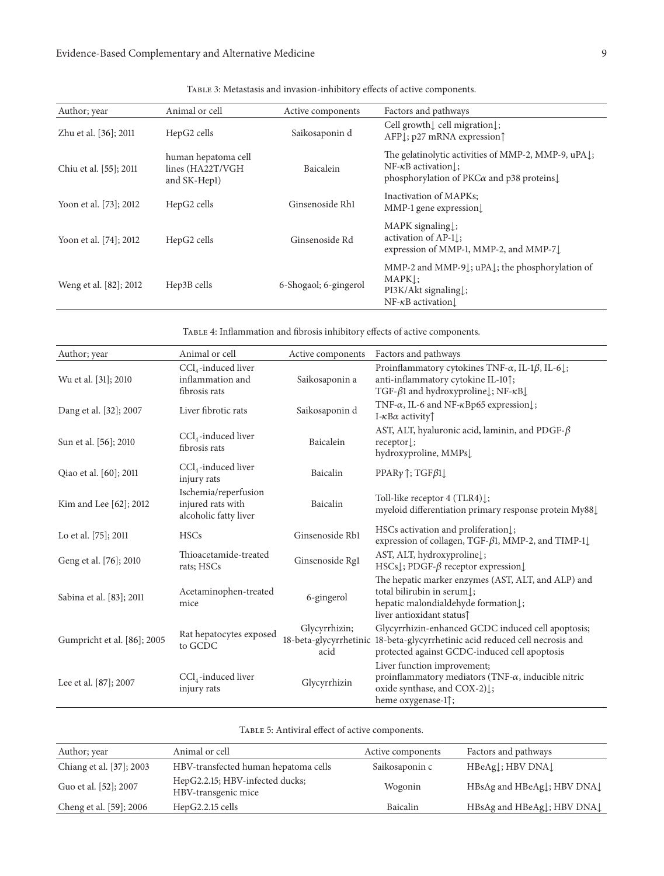| Author; year           | Animal or cell                                          | Active components     | Factors and pathways                                                                                                                                |
|------------------------|---------------------------------------------------------|-----------------------|-----------------------------------------------------------------------------------------------------------------------------------------------------|
| Zhu et al. [36]; 2011  | HepG2 cells                                             | Saikosaponin d        | Cell growth L cell migration L;<br>AFP <sub>L</sub> ; p27 mRNA expression                                                                           |
| Chiu et al. [55]; 2011 | human hepatoma cell<br>lines (HA22T/VGH<br>and SK-Hep1) | Baicalein             | The gelatinolytic activities of MMP-2, MMP-9, uPAl;<br>$NF-\kappa B$ activation<br>phosphorylation of $PKC\alpha$ and p38 proteins.                 |
| Yoon et al. [73]; 2012 | HepG2 cells                                             | Ginsenoside Rh1       | Inactivation of MAPKs:<br>$MMP-1$ gene expression                                                                                                   |
| Yoon et al. [74]; 2012 | HepG2 cells                                             | Ginsenoside Rd        | $MAPK$ signaling $\vdots$<br>activation of $AP-1$ :<br>expression of MMP-1, MMP-2, and MMP-7                                                        |
| Weng et al. [82]; 2012 | Hep3B cells                                             | 6-Shogaol; 6-gingerol | MMP-2 and MMP-9 $\downarrow$ ; uPA $\downarrow$ ; the phosphorylation of<br>$MAPK$ :<br>$PI3K/Akt$ signaling $\vert$ ;<br>$NF-\kappa B$ activation. |

<span id="page-8-0"></span>Table 3: Metastasis and invasion-inhibitory effects of active components.

<span id="page-8-1"></span>Table 4: Inflammation and fibrosis inhibitory effects of active components.

| Author; year                | Animal or cell                                                     | Active components                               | Factors and pathways                                                                                                                                                       |
|-----------------------------|--------------------------------------------------------------------|-------------------------------------------------|----------------------------------------------------------------------------------------------------------------------------------------------------------------------------|
| Wu et al. [31]; 2010        | $CCl4$ -induced liver<br>inflammation and<br>fibrosis rats         | Saikosaponin a                                  | Proinflammatory cytokines TNF- $\alpha$ , IL-1 $\beta$ , IL-6 $\downarrow$ ;<br>anti-inflammatory cytokine IL-10 <sup>1</sup> ;<br>TGF-β1 and hydroxyproline↓; NF-κB↓      |
| Dang et al. [32]; 2007      | Liver fibrotic rats                                                | Saikosaponin d                                  | TNF- $\alpha$ , IL-6 and NF- $\kappa$ Bp65 expression $\downarrow$ ;<br>I- $\kappa$ B $\alpha$ activity $\uparrow$                                                         |
| Sun et al. [56]; 2010       | $CCl4$ -induced liver<br>fibrosis rats                             | Baicalein                                       | AST, ALT, hyaluronic acid, laminin, and PDGF- $\beta$<br>$receptor$ :<br>hydroxyproline, MMPs                                                                              |
| Qiao et al. [60]; 2011      | $CCl4$ -induced liver<br>injury rats                               | Baicalin                                        | PPAR $\gamma$ <sup><math>\uparrow</math></sup> ; TGF $\beta$ 1 $\downarrow$                                                                                                |
| Kim and Lee [62]; 2012      | Ischemia/reperfusion<br>injured rats with<br>alcoholic fatty liver | Baicalin                                        | Toll-like receptor 4 (TLR4) L;<br>myeloid differentiation primary response protein My88                                                                                    |
| Lo et al. [75]; 2011        | <b>HSCs</b>                                                        | Ginsenoside Rb1                                 | HSCs activation and proliferation $\downarrow$ ;<br>expression of collagen, TGF-β1, MMP-2, and TIMP-1↓                                                                     |
| Geng et al. [76]; 2010      | Thioacetamide-treated<br>rats; HSCs                                | Ginsenoside Rg1                                 | AST, ALT, hydroxyprolinel;<br>HSCs $\downarrow$ ; PDGF- $\beta$ receptor expression $\downarrow$                                                                           |
| Sabina et al. [83]; 2011    | Acetaminophen-treated<br>mice                                      | 6-gingerol                                      | The hepatic marker enzymes (AST, ALT, and ALP) and<br>total bilirubin in serum.<br>hepatic malondialdehyde formation1;<br>liver antioxidant status <sup>1</sup>            |
| Gumpricht et al. [86]; 2005 | Rat hepatocytes exposed<br>to GCDC                                 | Glycyrrhizin;<br>18-beta-glycyrrhetinic<br>acid | Glycyrrhizin-enhanced GCDC induced cell apoptosis;<br>18-beta-glycyrrhetinic acid reduced cell necrosis and<br>protected against GCDC-induced cell apoptosis               |
| Lee et al. [87]; 2007       | $CCl4$ -induced liver<br>injury rats                               | Glycyrrhizin                                    | Liver function improvement;<br>proinflammatory mediators (TNF- $\alpha$ , inducible nitric<br>oxide synthase, and COX-2) $\downarrow$ ;<br>heme oxygenase-1 <sup>1</sup> ; |

<span id="page-8-2"></span>

| TABLE 5: Antiviral effect of active components. |  |  |  |
|-------------------------------------------------|--|--|--|
|-------------------------------------------------|--|--|--|

| Author; year             | Animal or cell                                         | Active components | Factors and pathways      |
|--------------------------|--------------------------------------------------------|-------------------|---------------------------|
| Chiang et al. [37]; 2003 | HBV-transfected human hepatoma cells                   | Saikosaponin c    | $HBeAg$ : HBV DNA         |
| Guo et al. [52]; 2007    | HepG2.2.15; HBV-infected ducks;<br>HBV-transgenic mice | Wogonin           | HBsAg and HBeAgl; HBV DNA |
| Cheng et al. [59]; 2006  | $HepG2.2.15$ cells                                     | Baicalin          | HBsAg and HBeAgl; HBV DNA |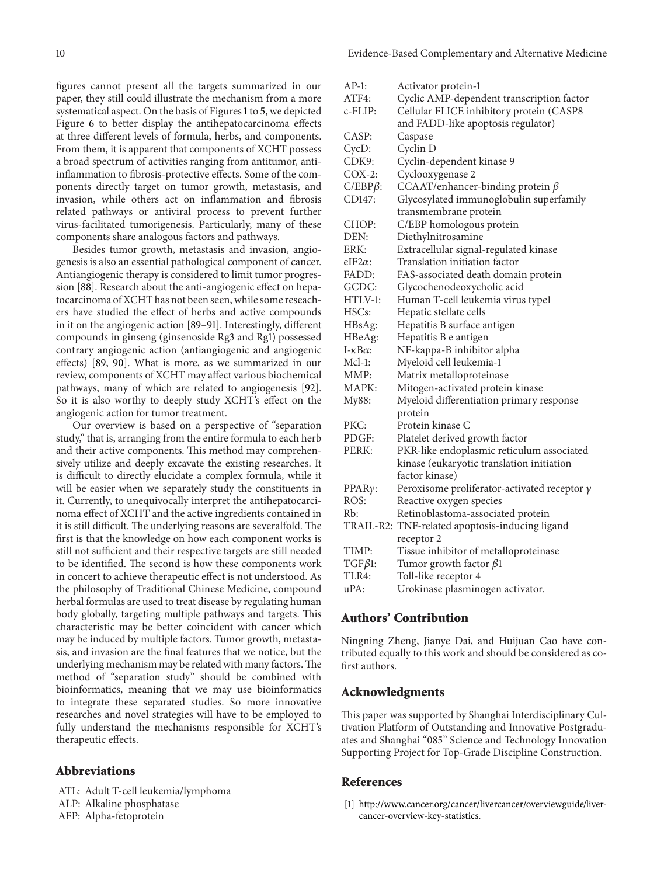figures cannot present all the targets summarized in our paper, they still could illustrate the mechanism from a more systematical aspect. On the basis of Figures [1](#page-2-0) to [5,](#page-5-0) we depicted Figure [6](#page-6-0) to better display the antihepatocarcinoma effects at three different levels of formula, herbs, and components. From them, it is apparent that components of XCHT possess a broad spectrum of activities ranging from antitumor, antiinflammation to fibrosis-protective effects. Some of the components directly target on tumor growth, metastasis, and invasion, while others act on inflammation and fibrosis related pathways or antiviral process to prevent further virus-facilitated tumorigenesis. Particularly, many of these components share analogous factors and pathways.

Besides tumor growth, metastasis and invasion, angiogenesis is also an essential pathological component of cancer. Antiangiogenic therapy is considered to limit tumor progression [\[88](#page-13-1)]. Research about the anti-angiogenic effect on hepatocarcinoma of XCHT has not been seen, while some reseachers have studied the effect of herbs and active compounds in it on the angiogenic action [\[89](#page-13-2)[–91](#page-13-3)]. Interestingly, different compounds in ginseng (ginsenoside Rg3 and Rg1) possessed contrary angiogenic action (antiangiogenic and angiogenic effects) [\[89,](#page-13-2) [90\]](#page-13-4). What is more, as we summarized in our review, components of XCHT may affect various biochemical pathways, many of which are related to angiogenesis [\[92\]](#page-13-5). So it is also worthy to deeply study XCHT's effect on the angiogenic action for tumor treatment.

Our overview is based on a perspective of "separation study," that is, arranging from the entire formula to each herb and their active components. This method may comprehensively utilize and deeply excavate the existing researches. It is difficult to directly elucidate a complex formula, while it will be easier when we separately study the constituents in it. Currently, to unequivocally interpret the antihepatocarcinoma effect of XCHT and the active ingredients contained in it is still difficult. The underlying reasons are severalfold. The first is that the knowledge on how each component works is still not sufficient and their respective targets are still needed to be identified. The second is how these components work in concert to achieve therapeutic effect is not understood. As the philosophy of Traditional Chinese Medicine, compound herbal formulas are used to treat disease by regulating human body globally, targeting multiple pathways and targets. This characteristic may be better coincident with cancer which may be induced by multiple factors. Tumor growth, metastasis, and invasion are the final features that we notice, but the underlying mechanism may be related with many factors.The method of "separation study" should be combined with bioinformatics, meaning that we may use bioinformatics to integrate these separated studies. So more innovative researches and novel strategies will have to be employed to fully understand the mechanisms responsible for XCHT's therapeutic effects.

#### **Abbreviations**

ATL: Adult T-cell leukemia/lymphoma ALP: Alkaline phosphatase AFP: Alpha-fetoprotein

| $AP-1:$                 | Activator protein-1                                 |
|-------------------------|-----------------------------------------------------|
| ATF4:                   | Cyclic AMP-dependent transcription factor           |
| c-FLIP:                 | Cellular FLICE inhibitory protein (CASP8            |
|                         | and FADD-like apoptosis regulator)                  |
| CASP:                   | Caspase                                             |
| CycD:                   | Cyclin D                                            |
| CDK9:                   | Cyclin-dependent kinase 9                           |
| $COX-2$ :               | Cyclooxygenase 2                                    |
| $C/EBP\beta$ :          | CCAAT/enhancer-binding protein $\beta$              |
| CD147:                  | Glycosylated immunoglobulin superfamily             |
|                         | transmembrane protein                               |
| CHOP:                   | C/EBP homologous protein                            |
| DEN:                    | Diethylnitrosamine                                  |
| ERK:                    | Extracellular signal-regulated kinase               |
| eIF2α:                  | Translation initiation factor                       |
| FADD:                   | FAS-associated death domain protein                 |
| GCDC:                   | Glycochenodeoxycholic acid                          |
| HTLV-1:                 | Human T-cell leukemia virus typel                   |
| HSCs:                   | Hepatic stellate cells                              |
| HBsAg:                  | Hepatitis B surface antigen                         |
| HBeAg:                  | Hepatitis B e antigen                               |
| $I - \kappa B \alpha$ : | NF-kappa-B inhibitor alpha                          |
| Mcl-1:                  | Myeloid cell leukemia-1                             |
| MMP:                    | Matrix metalloproteinase                            |
| MAPK:                   | Mitogen-activated protein kinase                    |
| My88:                   | Myeloid differentiation primary response            |
|                         | protein                                             |
| PKC:                    | Protein kinase C                                    |
| PDGF:                   | Platelet derived growth factor                      |
| PERK:                   | PKR-like endoplasmic reticulum associated           |
|                         | kinase (eukaryotic translation initiation           |
|                         | factor kinase)                                      |
| PPARγ:                  | Peroxisome proliferator-activated receptor $\gamma$ |
| ROS:                    | Reactive oxygen species                             |
| Rb:                     | Retinoblastoma-associated protein                   |
|                         | TRAIL-R2: TNF-related apoptosis-inducing ligand     |
|                         | receptor 2                                          |
| TIMP:                   | Tissue inhibitor of metalloproteinase               |
| $TGF\beta1$ :           | Tumor growth factor $\beta$ 1                       |
| TLR4:                   | Toll-like receptor 4                                |
| uPA:                    | Urokinase plasminogen activator.                    |
|                         |                                                     |

## **Authors' Contribution**

Ningning Zheng, Jianye Dai, and Huijuan Cao have contributed equally to this work and should be considered as cofirst authors.

#### **Acknowledgments**

This paper was supported by Shanghai Interdisciplinary Cultivation Platform of Outstanding and Innovative Postgraduates and Shanghai "085" Science and Technology Innovation Supporting Project for Top-Grade Discipline Construction.

#### <span id="page-9-0"></span>**References**

<span id="page-9-1"></span>[1] [http://www.cancer.org/cancer/livercancer/overviewguide/liver](http://www.cancer.org/cancer/livercancer/overviewguide/liver-cancer-overview-key-statistics)[cancer-overview-key-statistics.](http://www.cancer.org/cancer/livercancer/overviewguide/liver-cancer-overview-key-statistics)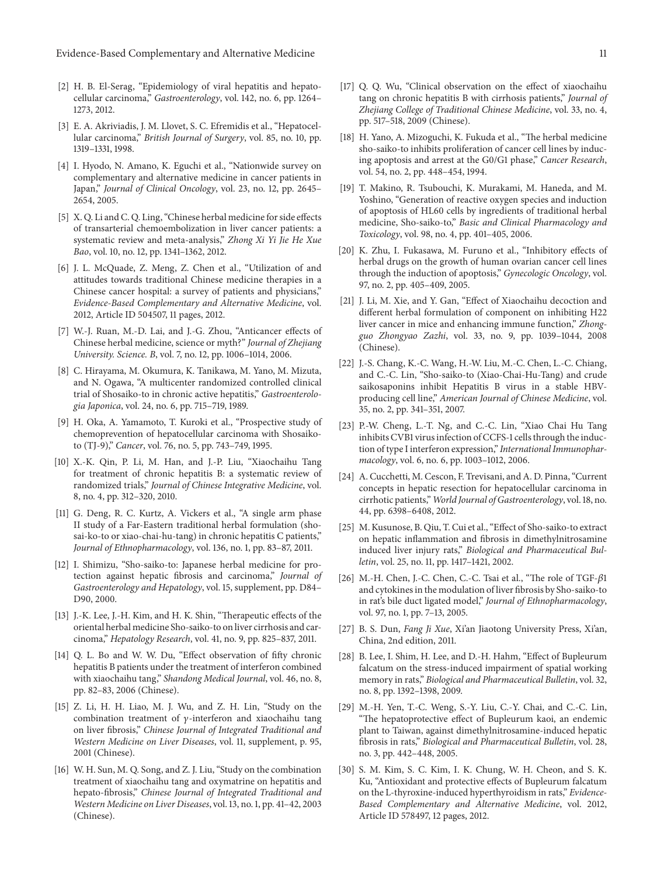- <span id="page-10-0"></span>[2] H. B. El-Serag, "Epidemiology of viral hepatitis and hepatocellular carcinoma," *Gastroenterology*, vol. 142, no. 6, pp. 1264– 1273, 2012.
- <span id="page-10-1"></span>[3] E. A. Akriviadis, J. M. Llovet, S. C. Efremidis et al., "Hepatocellular carcinoma," *British Journal of Surgery*, vol. 85, no. 10, pp. 1319–1331, 1998.
- <span id="page-10-2"></span>[4] I. Hyodo, N. Amano, K. Eguchi et al., "Nationwide survey on complementary and alternative medicine in cancer patients in Japan," *Journal of Clinical Oncology*, vol. 23, no. 12, pp. 2645– 2654, 2005.
- [5] X. Q. Li and C. Q. Ling, "Chinese herbal medicine for side effects of transarterial chemoembolization in liver cancer patients: a systematic review and meta-analysis," *Zhong Xi Yi Jie He Xue Bao*, vol. 10, no. 12, pp. 1341–1362, 2012.
- <span id="page-10-3"></span>[6] J. L. McQuade, Z. Meng, Z. Chen et al., "Utilization of and attitudes towards traditional Chinese medicine therapies in a Chinese cancer hospital: a survey of patients and physicians," *Evidence-Based Complementary and Alternative Medicine*, vol. 2012, Article ID 504507, 11 pages, 2012.
- <span id="page-10-4"></span>[7] W.-J. Ruan, M.-D. Lai, and J.-G. Zhou, "Anticancer effects of Chinese herbal medicine, science or myth?" *Journal of Zhejiang University. Science. B*, vol. 7, no. 12, pp. 1006–1014, 2006.
- <span id="page-10-5"></span>[8] C. Hirayama, M. Okumura, K. Tanikawa, M. Yano, M. Mizuta, and N. Ogawa, "A multicenter randomized controlled clinical trial of Shosaiko-to in chronic active hepatitis," *Gastroenterologia Japonica*, vol. 24, no. 6, pp. 715–719, 1989.
- <span id="page-10-7"></span>[9] H. Oka, A. Yamamoto, T. Kuroki et al., "Prospective study of chemoprevention of hepatocellular carcinoma with Shosaikoto (TJ-9)," *Cancer*, vol. 76, no. 5, pp. 743–749, 1995.
- [10] X.-K. Qin, P. Li, M. Han, and J.-P. Liu, "Xiaochaihu Tang for treatment of chronic hepatitis B: a systematic review of randomized trials," *Journal of Chinese Integrative Medicine*, vol. 8, no. 4, pp. 312–320, 2010.
- <span id="page-10-6"></span>[11] G. Deng, R. C. Kurtz, A. Vickers et al., "A single arm phase II study of a Far-Eastern traditional herbal formulation (shosai-ko-to or xiao-chai-hu-tang) in chronic hepatitis C patients," *Journal of Ethnopharmacology*, vol. 136, no. 1, pp. 83–87, 2011.
- <span id="page-10-8"></span>[12] I. Shimizu, "Sho-saiko-to: Japanese herbal medicine for protection against hepatic fibrosis and carcinoma," *Journal of Gastroenterology and Hepatology*, vol. 15, supplement, pp. D84– D90, 2000.
- <span id="page-10-9"></span>[13] J.-K. Lee, J.-H. Kim, and H. K. Shin, "Therapeutic effects of the oriental herbal medicine Sho-saiko-to on liver cirrhosis and carcinoma," *Hepatology Research*, vol. 41, no. 9, pp. 825–837, 2011.
- <span id="page-10-10"></span>[14] Q. L. Bo and W. W. Du, "Effect observation of fifty chronic hepatitis B patients under the treatment of interferon combined with xiaochaihu tang," *Shandong Medical Journal*, vol. 46, no. 8, pp. 82–83, 2006 (Chinese).
- <span id="page-10-11"></span>[15] Z. Li, H. H. Liao, M. J. Wu, and Z. H. Lin, "Study on the combination treatment of  $\gamma$ -interferon and xiaochaihu tang on liver fibrosis," *Chinese Journal of Integrated Traditional and Western Medicine on Liver Diseases*, vol. 11, supplement, p. 95, 2001 (Chinese).
- <span id="page-10-12"></span>[16] W. H. Sun, M. Q. Song, and Z. J. Liu, "Study on the combination treatment of xiaochaihu tang and oxymatrine on hepatitis and hepato-fibrosis," *Chinese Journal of Integrated Traditional and Western Medicine on Liver Diseases*, vol. 13, no. 1, pp. 41–42, 2003 (Chinese).
- <span id="page-10-13"></span>[17] Q. Q. Wu, "Clinical observation on the effect of xiaochaihu tang on chronic hepatitis B with cirrhosis patients," *Journal of Zhejiang College of Traditional Chinese Medicine*, vol. 33, no. 4, pp. 517–518, 2009 (Chinese).
- <span id="page-10-14"></span>[18] H. Yano, A. Mizoguchi, K. Fukuda et al., "The herbal medicine sho-saiko-to inhibits proliferation of cancer cell lines by inducing apoptosis and arrest at the G0/G1 phase," *Cancer Research*, vol. 54, no. 2, pp. 448–454, 1994.
- <span id="page-10-15"></span>[19] T. Makino, R. Tsubouchi, K. Murakami, M. Haneda, and M. Yoshino, "Generation of reactive oxygen species and induction of apoptosis of HL60 cells by ingredients of traditional herbal medicine, Sho-saiko-to," *Basic and Clinical Pharmacology and Toxicology*, vol. 98, no. 4, pp. 401–405, 2006.
- [20] K. Zhu, I. Fukasawa, M. Furuno et al., "Inhibitory effects of herbal drugs on the growth of human ovarian cancer cell lines through the induction of apoptosis," *Gynecologic Oncology*, vol. 97, no. 2, pp. 405–409, 2005.
- <span id="page-10-16"></span>[21] J. Li, M. Xie, and Y. Gan, "Effect of Xiaochaihu decoction and different herbal formulation of component on inhibiting H22 liver cancer in mice and enhancing immune function," *Zhongguo Zhongyao Zazhi*, vol. 33, no. 9, pp. 1039–1044, 2008 (Chinese).
- <span id="page-10-17"></span>[22] J.-S. Chang, K.-C. Wang, H.-W. Liu, M.-C. Chen, L.-C. Chiang, and C.-C. Lin, "Sho-saiko-to (Xiao-Chai-Hu-Tang) and crude saikosaponins inhibit Hepatitis B virus in a stable HBVproducing cell line," *American Journal of Chinese Medicine*, vol. 35, no. 2, pp. 341–351, 2007.
- <span id="page-10-18"></span>[23] P.-W. Cheng, L.-T. Ng, and C.-C. Lin, "Xiao Chai Hu Tang inhibits CVB1 virus infection of CCFS-1 cells through the induction of type I interferon expression," *International Immunopharmacology*, vol. 6, no. 6, pp. 1003–1012, 2006.
- <span id="page-10-19"></span>[24] A. Cucchetti, M. Cescon, F. Trevisani, and A. D. Pinna, "Current concepts in hepatic resection for hepatocellular carcinoma in cirrhotic patients," *World Journal of Gastroenterology*, vol. 18, no. 44, pp. 6398–6408, 2012.
- <span id="page-10-20"></span>[25] M. Kusunose, B. Qiu, T. Cui et al., "Effect of Sho-saiko-to extract on hepatic inflammation and fibrosis in dimethylnitrosamine induced liver injury rats," *Biological and Pharmaceutical Bulletin*, vol. 25, no. 11, pp. 1417–1421, 2002.
- <span id="page-10-21"></span>[26] M.-H. Chen, J.-C. Chen, C.-C. Tsai et al., "The role of TGF- $\beta$ 1 and cytokines in the modulation of liver fibrosis by Sho-saiko-to in rat's bile duct ligated model," *Journal of Ethnopharmacology*, vol. 97, no. 1, pp. 7–13, 2005.
- <span id="page-10-22"></span>[27] B. S. Dun, *Fang Ji Xue*, Xi'an Jiaotong University Press, Xi'an, China, 2nd edition, 2011.
- <span id="page-10-23"></span>[28] B. Lee, I. Shim, H. Lee, and D.-H. Hahm, "Effect of Bupleurum falcatum on the stress-induced impairment of spatial working memory in rats," *Biological and Pharmaceutical Bulletin*, vol. 32, no. 8, pp. 1392–1398, 2009.
- <span id="page-10-24"></span>[29] M.-H. Yen, T.-C. Weng, S.-Y. Liu, C.-Y. Chai, and C.-C. Lin, "The hepatoprotective effect of Bupleurum kaoi, an endemic plant to Taiwan, against dimethylnitrosamine-induced hepatic fibrosis in rats," *Biological and Pharmaceutical Bulletin*, vol. 28, no. 3, pp. 442–448, 2005.
- <span id="page-10-25"></span>[30] S. M. Kim, S. C. Kim, I. K. Chung, W. H. Cheon, and S. K. Ku, "Antioxidant and protective effects of Bupleurum falcatum on the L-thyroxine-induced hyperthyroidism in rats," *Evidence-Based Complementary and Alternative Medicine*, vol. 2012, Article ID 578497, 12 pages, 2012.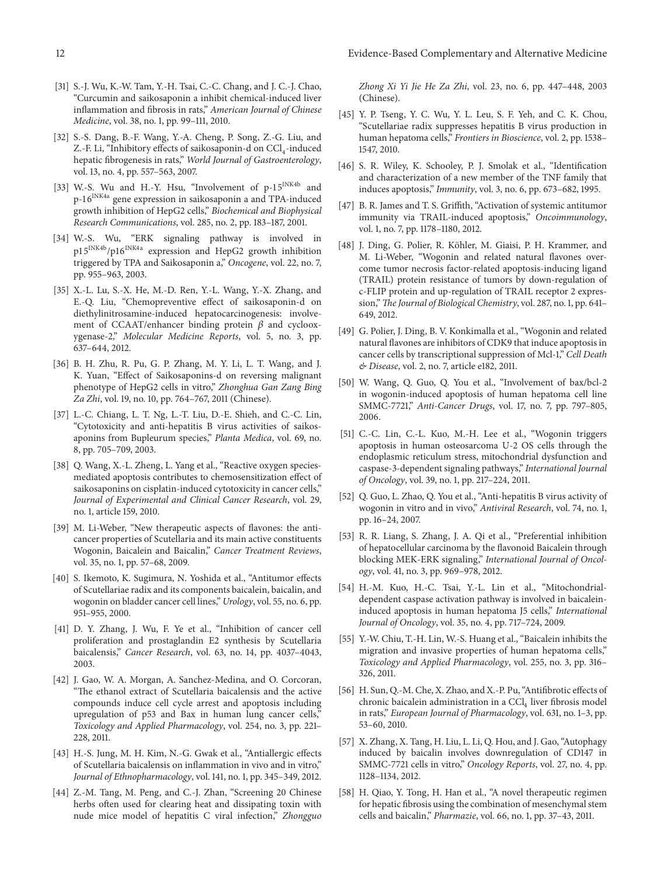- <span id="page-11-0"></span>[31] S.-J. Wu, K.-W. Tam, Y.-H. Tsai, C.-C. Chang, and J. C.-J. Chao, "Curcumin and saikosaponin a inhibit chemical-induced liver inflammation and fibrosis in rats," *American Journal of Chinese Medicine*, vol. 38, no. 1, pp. 99–111, 2010.
- <span id="page-11-1"></span>[32] S.-S. Dang, B.-F. Wang, Y.-A. Cheng, P. Song, Z.-G. Liu, and Z.-F. Li, "Inhibitory effects of saikosaponin-d on  $\text{CC}l_{4}$ -induced hepatic fibrogenesis in rats," *World Journal of Gastroenterology*, vol. 13, no. 4, pp. 557–563, 2007.
- <span id="page-11-2"></span>[33] W.-S. Wu and H.-Y. Hsu, "Involvement of p-15<sup>INK4b</sup> and p-16<sup>INK4a</sup> gene expression in saikosaponin a and TPA-induced growth inhibition of HepG2 cells," *Biochemical and Biophysical Research Communications*, vol. 285, no. 2, pp. 183–187, 2001.
- <span id="page-11-6"></span>[34] W.-S. Wu, "ERK signaling pathway is involved in p15<sup>INK4b</sup>/p16<sup>INK4a</sup> expression and HepG2 growth inhibition triggered by TPA and Saikosaponin a," *Oncogene*, vol. 22, no. 7, pp. 955–963, 2003.
- <span id="page-11-7"></span>[35] X.-L. Lu, S.-X. He, M.-D. Ren, Y.-L. Wang, Y.-X. Zhang, and E.-Q. Liu, "Chemopreventive effect of saikosaponin-d on diethylinitrosamine-induced hepatocarcinogenesis: involvement of CCAAT/enhancer binding protein  $\beta$  and cyclooxygenase-2," *Molecular Medicine Reports*, vol. 5, no. 3, pp. 637–644, 2012.
- <span id="page-11-3"></span>[36] B. H. Zhu, R. Pu, G. P. Zhang, M. Y. Li, L. T. Wang, and J. K. Yuan, "Effect of Saikosaponins-d on reversing malignant phenotype of HepG2 cells in vitro," *Zhonghua Gan Zang Bing Za Zhi*, vol. 19, no. 10, pp. 764–767, 2011 (Chinese).
- <span id="page-11-4"></span>[37] L.-C. Chiang, L. T. Ng, L.-T. Liu, D.-E. Shieh, and C.-C. Lin, "Cytotoxicity and anti-hepatitis B virus activities of saikosaponins from Bupleurum species," *Planta Medica*, vol. 69, no. 8, pp. 705–709, 2003.
- <span id="page-11-5"></span>[38] Q. Wang, X.-L. Zheng, L. Yang et al., "Reactive oxygen speciesmediated apoptosis contributes to chemosensitization effect of saikosaponins on cisplatin-induced cytotoxicity in cancer cells," *Journal of Experimental and Clinical Cancer Research*, vol. 29, no. 1, article 159, 2010.
- <span id="page-11-8"></span>[39] M. Li-Weber, "New therapeutic aspects of flavones: the anticancer properties of Scutellaria and its main active constituents Wogonin, Baicalein and Baicalin," *Cancer Treatment Reviews*, vol. 35, no. 1, pp. 57–68, 2009.
- <span id="page-11-9"></span>[40] S. Ikemoto, K. Sugimura, N. Yoshida et al., "Antitumor effects of Scutellariae radix and its components baicalein, baicalin, and wogonin on bladder cancer cell lines," *Urology*, vol. 55, no. 6, pp. 951–955, 2000.
- [41] D. Y. Zhang, J. Wu, F. Ye et al., "Inhibition of cancer cell proliferation and prostaglandin E2 synthesis by Scutellaria baicalensis," *Cancer Research*, vol. 63, no. 14, pp. 4037–4043, 2003.
- <span id="page-11-10"></span>[42] J. Gao, W. A. Morgan, A. Sanchez-Medina, and O. Corcoran, "The ethanol extract of Scutellaria baicalensis and the active compounds induce cell cycle arrest and apoptosis including upregulation of p53 and Bax in human lung cancer cells," *Toxicology and Applied Pharmacology*, vol. 254, no. 3, pp. 221– 228, 2011.
- <span id="page-11-11"></span>[43] H.-S. Jung, M. H. Kim, N.-G. Gwak et al., "Antiallergic effects of Scutellaria baicalensis on inflammation in vivo and in vitro," *Journal of Ethnopharmacology*, vol. 141, no. 1, pp. 345–349, 2012.
- <span id="page-11-12"></span>[44] Z.-M. Tang, M. Peng, and C.-J. Zhan, "Screening 20 Chinese herbs often used for clearing heat and dissipating toxin with nude mice model of hepatitis C viral infection," *Zhongguo*

*Zhong Xi Yi Jie He Za Zhi*, vol. 23, no. 6, pp. 447–448, 2003 (Chinese).

- <span id="page-11-13"></span>[45] Y. P. Tseng, Y. C. Wu, Y. L. Leu, S. F. Yeh, and C. K. Chou, "Scutellariae radix suppresses hepatitis B virus production in human hepatoma cells," *Frontiers in Bioscience*, vol. 2, pp. 1538– 1547, 2010.
- <span id="page-11-14"></span>[46] S. R. Wiley, K. Schooley, P. J. Smolak et al., "Identification and characterization of a new member of the TNF family that induces apoptosis," *Immunity*, vol. 3, no. 6, pp. 673–682, 1995.
- <span id="page-11-15"></span>[47] B. R. James and T. S. Griffith, "Activation of systemic antitumor immunity via TRAIL-induced apoptosis," *Oncoimmunology*, vol. 1, no. 7, pp. 1178–1180, 2012.
- <span id="page-11-16"></span>[48] J. Ding, G. Polier, R. Köhler, M. Giaisi, P. H. Krammer, and M. Li-Weber, "Wogonin and related natural flavones overcome tumor necrosis factor-related apoptosis-inducing ligand (TRAIL) protein resistance of tumors by down-regulation of c-FLIP protein and up-regulation of TRAIL receptor 2 expression,"*The Journal of Biological Chemistry*, vol. 287, no. 1, pp. 641– 649, 2012.
- <span id="page-11-17"></span>[49] G. Polier, J. Ding, B. V. Konkimalla et al., "Wogonin and related natural flavones are inhibitors of CDK9 that induce apoptosis in cancer cells by transcriptional suppression of Mcl-1," *Cell Death & Disease*, vol. 2, no. 7, article e182, 2011.
- <span id="page-11-18"></span>[50] W. Wang, Q. Guo, Q. You et al., "Involvement of bax/bcl-2 in wogonin-induced apoptosis of human hepatoma cell line SMMC-7721," *Anti-Cancer Drugs*, vol. 17, no. 7, pp. 797–805, 2006.
- <span id="page-11-19"></span>[51] C.-C. Lin, C.-L. Kuo, M.-H. Lee et al., "Wogonin triggers apoptosis in human osteosarcoma U-2 OS cells through the endoplasmic reticulum stress, mitochondrial dysfunction and caspase-3-dependent signaling pathways," *International Journal of Oncology*, vol. 39, no. 1, pp. 217–224, 2011.
- <span id="page-11-20"></span>[52] Q. Guo, L. Zhao, Q. You et al., "Anti-hepatitis B virus activity of wogonin in vitro and in vivo," *Antiviral Research*, vol. 74, no. 1, pp. 16–24, 2007.
- <span id="page-11-21"></span>[53] R. R. Liang, S. Zhang, J. A. Qi et al., "Preferential inhibition of hepatocellular carcinoma by the flavonoid Baicalein through blocking MEK-ERK signaling," *International Journal of Oncology*, vol. 41, no. 3, pp. 969–978, 2012.
- <span id="page-11-22"></span>[54] H.-M. Kuo, H.-C. Tsai, Y.-L. Lin et al., "Mitochondrialdependent caspase activation pathway is involved in baicaleininduced apoptosis in human hepatoma J5 cells," *International Journal of Oncology*, vol. 35, no. 4, pp. 717–724, 2009.
- <span id="page-11-23"></span>[55] Y.-W. Chiu, T.-H. Lin, W.-S. Huang et al., "Baicalein inhibits the migration and invasive properties of human hepatoma cells," *Toxicology and Applied Pharmacology*, vol. 255, no. 3, pp. 316– 326, 2011.
- <span id="page-11-24"></span>[56] H. Sun, Q.-M. Che, X. Zhao, and X.-P. Pu, "Antifibrotic effects of chronic baicalein administration in a  $CCl<sub>4</sub>$  liver fibrosis model in rats," *European Journal of Pharmacology*, vol. 631, no. 1–3, pp. 53–60, 2010.
- <span id="page-11-25"></span>[57] X. Zhang, X. Tang, H. Liu, L. Li, Q. Hou, and J. Gao, "Autophagy induced by baicalin involves downregulation of CD147 in SMMC-7721 cells in vitro," *Oncology Reports*, vol. 27, no. 4, pp. 1128–1134, 2012.
- <span id="page-11-26"></span>[58] H. Qiao, Y. Tong, H. Han et al., "A novel therapeutic regimen for hepatic fibrosis using the combination of mesenchymal stem cells and baicalin," *Pharmazie*, vol. 66, no. 1, pp. 37–43, 2011.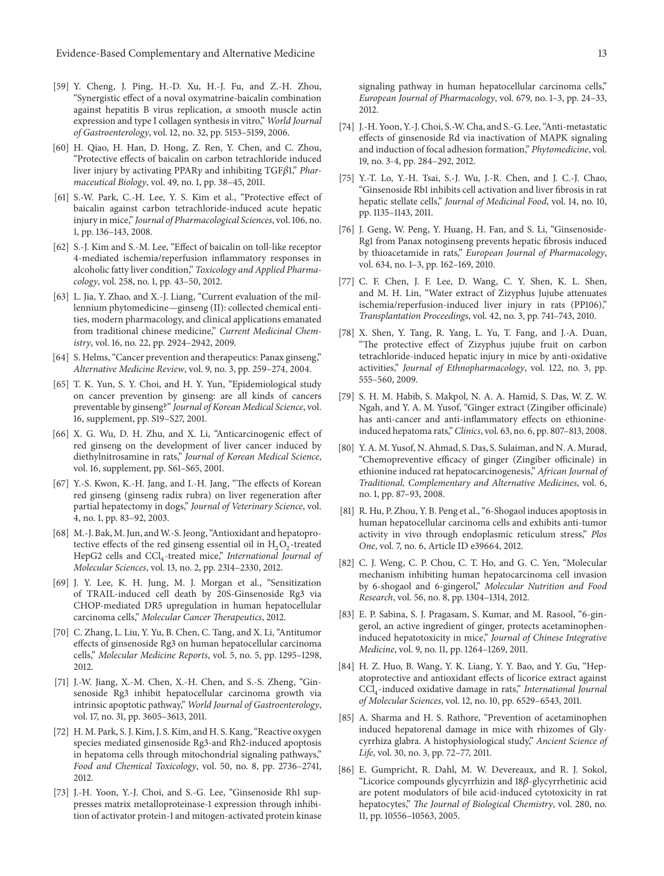- <span id="page-12-0"></span>[59] Y. Cheng, J. Ping, H.-D. Xu, H.-J. Fu, and Z.-H. Zhou, "Synergistic effect of a noval oxymatrine-baicalin combination against hepatitis B virus replication,  $\alpha$  smooth muscle actin expression and type I collagen synthesis in vitro," *World Journal of Gastroenterology*, vol. 12, no. 32, pp. 5153–5159, 2006.
- <span id="page-12-1"></span>[60] H. Qiao, H. Han, D. Hong, Z. Ren, Y. Chen, and C. Zhou, "Protective effects of baicalin on carbon tetrachloride induced liver injury by activating PPARγ and inhibiting TGFβ1," *Pharmaceutical Biology*, vol. 49, no. 1, pp. 38–45, 2011.
- [61] S.-W. Park, C.-H. Lee, Y. S. Kim et al., "Protective effect of baicalin against carbon tetrachloride-induced acute hepatic injury in mice," *Journal of Pharmacological Sciences*, vol. 106, no. 1, pp. 136–143, 2008.
- <span id="page-12-2"></span>[62] S.-J. Kim and S.-M. Lee, "Effect of baicalin on toll-like receptor 4-mediated ischemia/reperfusion inflammatory responses in alcoholic fatty liver condition," *Toxicology and Applied Pharmacology*, vol. 258, no. 1, pp. 43–50, 2012.
- <span id="page-12-3"></span>[63] L. Jia, Y. Zhao, and X.-J. Liang, "Current evaluation of the millennium phytomedicine—ginseng (II): collected chemical entities, modern pharmacology, and clinical applications emanated from traditional chinese medicine," *Current Medicinal Chemistry*, vol. 16, no. 22, pp. 2924–2942, 2009.
- <span id="page-12-4"></span>[64] S. Helms, "Cancer prevention and therapeutics: Panax ginseng," *Alternative Medicine Review*, vol. 9, no. 3, pp. 259–274, 2004.
- <span id="page-12-5"></span>[65] T. K. Yun, S. Y. Choi, and H. Y. Yun, "Epidemiological study on cancer prevention by ginseng: are all kinds of cancers preventable by ginseng?" *Journal of Korean Medical Science*, vol. 16, supplement, pp. S19–S27, 2001.
- <span id="page-12-6"></span>[66] X. G. Wu, D. H. Zhu, and X. Li, "Anticarcinogenic effect of red ginseng on the development of liver cancer induced by diethylnitrosamine in rats," *Journal of Korean Medical Science*, vol. 16, supplement, pp. S61–S65, 2001.
- <span id="page-12-7"></span>[67] Y.-S. Kwon, K.-H. Jang, and I.-H. Jang, "The effects of Korean red ginseng (ginseng radix rubra) on liver regeneration after partial hepatectomy in dogs," *Journal of Veterinary Science*, vol. 4, no. 1, pp. 83–92, 2003.
- <span id="page-12-8"></span>[68] M.-J. Bak, M. Jun, and W.-S. Jeong, "Antioxidant and hepatoprotective effects of the red ginseng essential oil in  $H_2O_2$ -treated HepG2 cells and CCl<sub>4</sub>-treated mice," *International Journal of Molecular Sciences*, vol. 13, no. 2, pp. 2314–2330, 2012.
- <span id="page-12-9"></span>[69] J. Y. Lee, K. H. Jung, M. J. Morgan et al., "Sensitization of TRAIL-induced cell death by 20S-Ginsenoside Rg3 via CHOP-mediated DR5 upregulation in human hepatocellular carcinoma cells," *Molecular Cancer Therapeutics*, 2012.
- <span id="page-12-10"></span>[70] C. Zhang, L. Liu, Y. Yu, B. Chen, C. Tang, and X. Li, "Antitumor effects of ginsenoside Rg3 on human hepatocellular carcinoma cells," *Molecular Medicine Reports*, vol. 5, no. 5, pp. 1295–1298, 2012.
- <span id="page-12-11"></span>[71] J.-W. Jiang, X.-M. Chen, X.-H. Chen, and S.-S. Zheng, "Ginsenoside Rg3 inhibit hepatocellular carcinoma growth via intrinsic apoptotic pathway," *World Journal of Gastroenterology*, vol. 17, no. 31, pp. 3605–3613, 2011.
- <span id="page-12-12"></span>[72] H. M. Park, S. J. Kim, J. S. Kim, and H. S. Kang, "Reactive oxygen species mediated ginsenoside Rg3-and Rh2-induced apoptosis in hepatoma cells through mitochondrial signaling pathways," *Food and Chemical Toxicology*, vol. 50, no. 8, pp. 2736–2741, 2012.
- <span id="page-12-13"></span>[73] J.-H. Yoon, Y.-J. Choi, and S.-G. Lee, "Ginsenoside Rh1 suppresses matrix metalloproteinase-1 expression through inhibition of activator protein-1 and mitogen-activated protein kinase

signaling pathway in human hepatocellular carcinoma cells," *European Journal of Pharmacology*, vol. 679, no. 1–3, pp. 24–33, 2012.

- <span id="page-12-14"></span>[74] J.-H. Yoon, Y.-J. Choi, S.-W. Cha, and S.-G. Lee, "Anti-metastatic effects of ginsenoside Rd via inactivation of MAPK signaling and induction of focal adhesion formation," *Phytomedicine*, vol. 19, no. 3-4, pp. 284–292, 2012.
- <span id="page-12-15"></span>[75] Y.-T. Lo, Y.-H. Tsai, S.-J. Wu, J.-R. Chen, and J. C.-J. Chao, "Ginsenoside Rb1 inhibits cell activation and liver fibrosis in rat hepatic stellate cells," *Journal of Medicinal Food*, vol. 14, no. 10, pp. 1135–1143, 2011.
- <span id="page-12-16"></span>[76] J. Geng, W. Peng, Y. Huang, H. Fan, and S. Li, "Ginsenoside-Rg1 from Panax notoginseng prevents hepatic fibrosis induced by thioacetamide in rats," *European Journal of Pharmacology*, vol. 634, no. 1–3, pp. 162–169, 2010.
- <span id="page-12-17"></span>[77] C. F. Chen, J. F. Lee, D. Wang, C. Y. Shen, K. L. Shen, and M. H. Lin, "Water extract of Zizyphus Jujube attenuates ischemia/reperfusion-induced liver injury in rats (PP106)," *Transplantation Proceedings*, vol. 42, no. 3, pp. 741–743, 2010.
- <span id="page-12-18"></span>[78] X. Shen, Y. Tang, R. Yang, L. Yu, T. Fang, and J.-A. Duan, "The protective effect of Zizyphus jujube fruit on carbon tetrachloride-induced hepatic injury in mice by anti-oxidative activities," *Journal of Ethnopharmacology*, vol. 122, no. 3, pp. 555–560, 2009.
- <span id="page-12-19"></span>[79] S. H. M. Habib, S. Makpol, N. A. A. Hamid, S. Das, W. Z. W. Ngah, and Y. A. M. Yusof, "Ginger extract (Zingiber officinale) has anti-cancer and anti-inflammatory effects on ethionineinduced hepatoma rats," *Clinics*, vol. 63, no. 6, pp. 807–813, 2008.
- <span id="page-12-20"></span>[80] Y. A. M. Yusof, N. Ahmad, S. Das, S. Sulaiman, and N. A. Murad, "Chemopreventive efficacy of ginger (Zingiber officinale) in ethionine induced rat hepatocarcinogenesis," *African Journal of Traditional, Complementary and Alternative Medicines*, vol. 6, no. 1, pp. 87–93, 2008.
- <span id="page-12-21"></span>[81] R. Hu, P. Zhou, Y. B. Peng et al., "6-Shogaol induces apoptosis in human hepatocellular carcinoma cells and exhibits anti-tumor activity in vivo through endoplasmic reticulum stress," *Plos One*, vol. 7, no. 6, Article ID e39664, 2012.
- <span id="page-12-22"></span>[82] C. J. Weng, C. P. Chou, C. T. Ho, and G. C. Yen, "Molecular mechanism inhibiting human hepatocarcinoma cell invasion by 6-shogaol and 6-gingerol," *Molecular Nutrition and Food Research*, vol. 56, no. 8, pp. 1304–1314, 2012.
- <span id="page-12-23"></span>[83] E. P. Sabina, S. J. Pragasam, S. Kumar, and M. Rasool, "6-gingerol, an active ingredient of ginger, protects acetaminopheninduced hepatotoxicity in mice," *Journal of Chinese Integrative Medicine*, vol. 9, no. 11, pp. 1264–1269, 2011.
- <span id="page-12-24"></span>[84] H. Z. Huo, B. Wang, Y. K. Liang, Y. Y. Bao, and Y. Gu, "Hepatoprotective and antioxidant effects of licorice extract against CCl4-induced oxidative damage in rats," *International Journal of Molecular Sciences*, vol. 12, no. 10, pp. 6529–6543, 2011.
- <span id="page-12-25"></span>[85] A. Sharma and H. S. Rathore, "Prevention of acetaminophen induced hepatorenal damage in mice with rhizomes of Glycyrrhiza glabra. A histophysiological study," *Ancient Science of Life*, vol. 30, no. 3, pp. 72–77, 2011.
- <span id="page-12-26"></span>[86] E. Gumpricht, R. Dahl, M. W. Devereaux, and R. J. Sokol, "Licorice compounds glycyrrhizin and  $18\beta$ -glycyrrhetinic acid are potent modulators of bile acid-induced cytotoxicity in rat hepatocytes," *The Journal of Biological Chemistry*, vol. 280, no. 11, pp. 10556–10563, 2005.